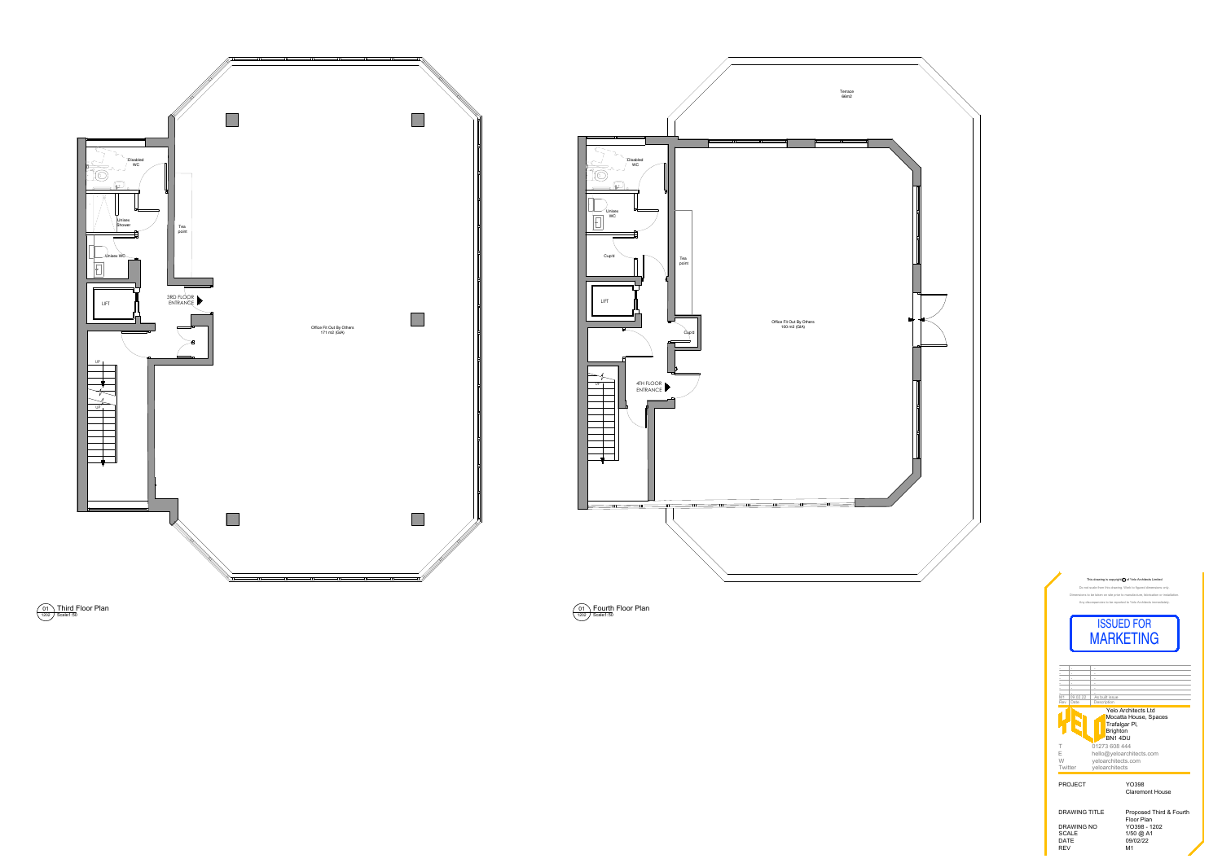



DRAWING NO YO398 - 1202 SCALE 1/50 @ A1 DATE 09/02/22 SCALE 1/50<br>
SCALE 1/50<br>
DATE 09/02<br>
REV M1

DRAWING TITLE Proposed Third & Fourth Floor Plan



Scale: 01 1202 Fourth Floor Plan

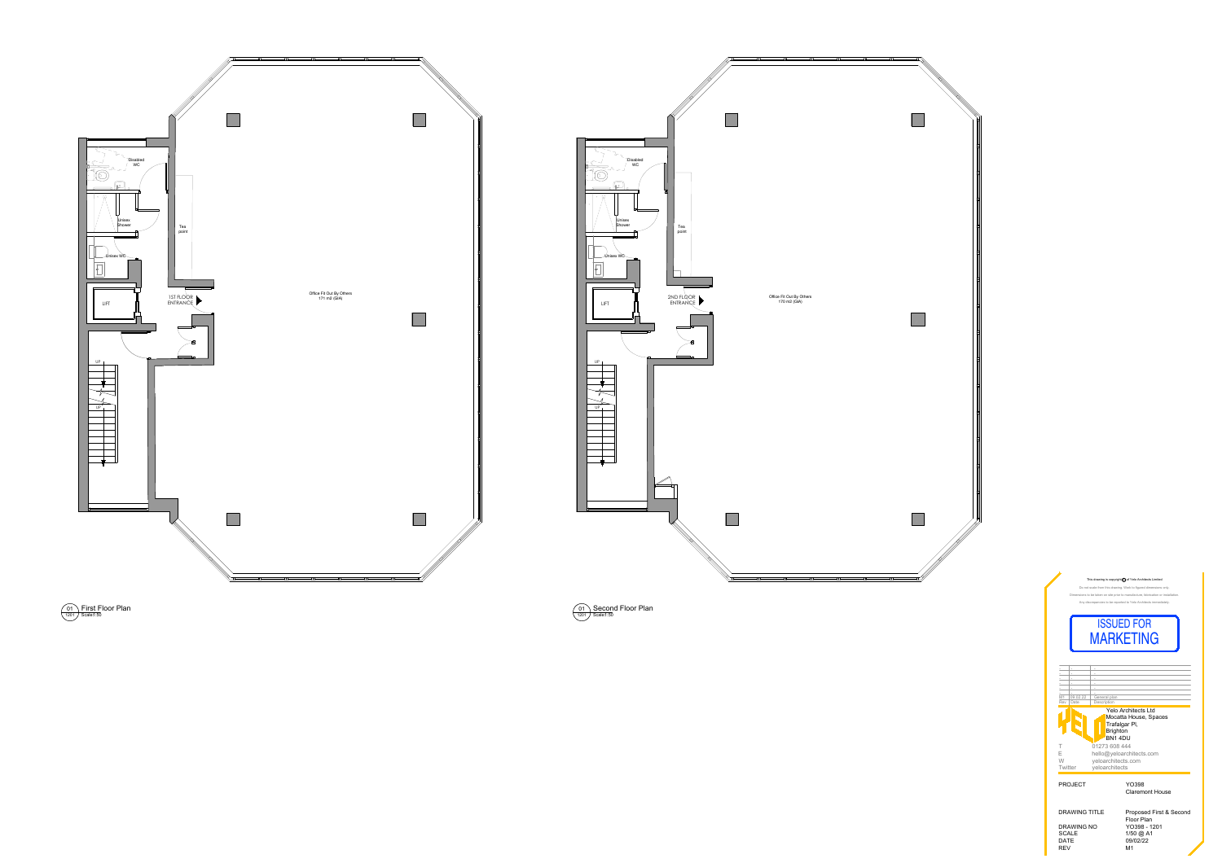



DRAWING NO YO398 - 1201 SCALE 1/50 @ A1 DATE 09/02/22 REV M1

DRAWING TITLE Proposed First & Second Floor Plan



Scale: 01 1201 Second Floor Plan